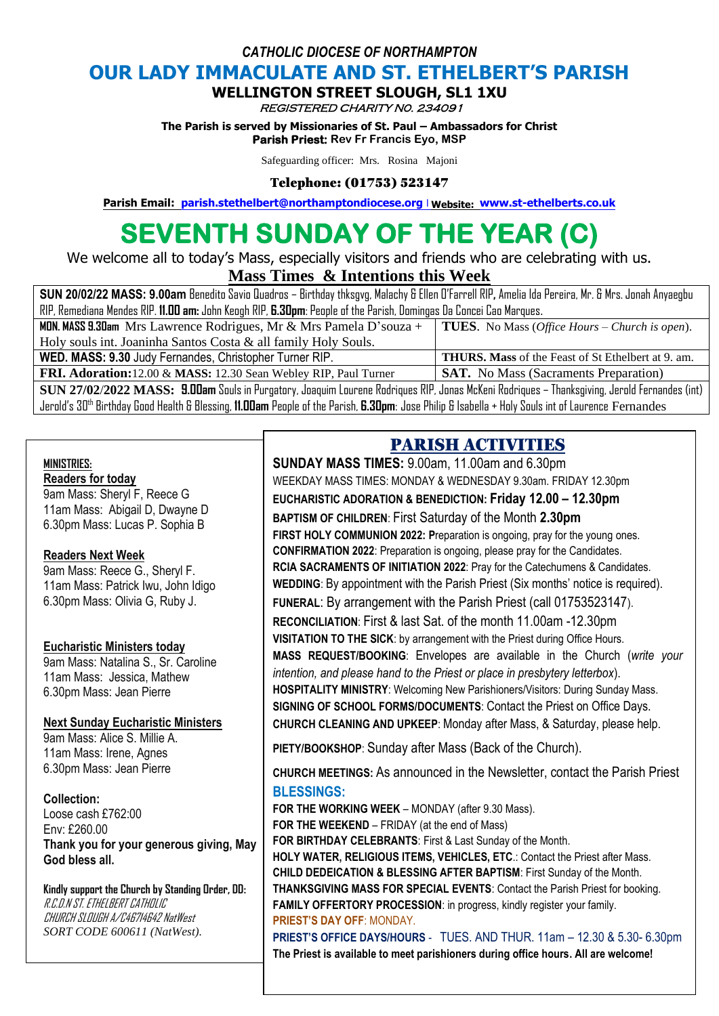*CATHOLIC DIOCESE OF NORTHAMPTON*

# **OUR LADY IMMACULATE AND ST. ETHELBERT'S PARISH**

#### **WELLINGTON STREET SLOUGH, SL1 1XU**

REGISTERED CHARITY N0. 234091

**The Parish is served by Missionaries of St. Paul – Ambassadors for Christ Parish Priest: Rev Fr Francis Eyo, MSP** 

Safeguarding officer: Mrs. Rosina Majoni

#### Telephone: (01753) 523147

**Parish Email: [parish.stethelbert@northamptondiocese.org](mailto:parish.stethelbert@northamptondiocese.org)** l **Website: [www.st-ethelberts.co.uk](http://www.st-ethelberts.co.uk/)**

# **SEVENTH SUNDAY OF THE YEAR (C)**

We welcome all to today's Mass, especially visitors and friends who are celebrating with us.

#### **Mass Times & Intentions this Week**

| SUN 20/02/22 MASS: 9.00am Benedito Savio Quadros – Birthday thksgvg, Malachy & Ellen O'Farrell RIP, Amelia Ida Pereira, Mr. & Mrs. Jonah Anyaegbu |                                                    |
|---------------------------------------------------------------------------------------------------------------------------------------------------|----------------------------------------------------|
| RIP, Remediana Mendes RIP. 11.00 am: John Keogh RIP, 6.30pm: People of the Parish, Domingas Da Concei Cao Marques.                                |                                                    |
| <b>MDN. MASS 9.30am</b> Mrs Lawrence Rodrigues, Mr & Mrs Pamela D'souza +   <b>TUES</b> . No Mass (Office Hours – Church is open).                |                                                    |
| Holy souls int. Joaninha Santos Costa & all family Holy Souls.                                                                                    |                                                    |
| WED. MASS: 9.30 Judy Fernandes, Christopher Turner RIP.                                                                                           | THURS. Mass of the Feast of St Ethelbert at 9. am. |
| FRI. Adoration:12.00 & MASS: 12.30 Sean Webley RIP, Paul Turner                                                                                   | <b>SAT.</b> No Mass (Sacraments Preparation)       |
| SUN 27/02/2022 MASS: 9.00am Souls in Purgatory, Joaquim Lourene Rodriques RIP, Jonas McKeni Rodriques – Thanksgiving, Jerold Fernandes (int)      |                                                    |

Jerold's 30th Birthday Good Health & Blessing, **11.00am** People of the Parish, **6.30pm**: Jose Philip & Isabella + Holy Souls int of Laurence Fernandes

#### **MINISTRIES:**

### **Readers for today**

9am Mass: Sheryl F, Reece G 11am Mass: Abigail D, Dwayne D 6.30pm Mass: Lucas P. Sophia B

#### **Readers Next Week**

9am Mass: Reece G., Sheryl F. 11am Mass: Patrick Iwu, John Idigo 6.30pm Mass: Olivia G, Ruby J.

#### **Eucharistic Ministers today**

9am Mass: Natalina S., Sr. Caroline 11am Mass: Jessica, Mathew 6.30pm Mass: Jean Pierre

#### **Next Sunday Eucharistic Ministers**

9am Mass: Alice S. Millie A. 11am Mass: Irene, Agnes 6.30pm Mass: Jean Pierre

#### **Collection:**

Loose cash £762:00 Env: £260.00 **Thank you for your generous giving, May God bless all.** 

**Kindly support the Church by Standing Order, DD:** R.C.D.N ST. ETHELBERT CATHOLIC CHURCH SLOUGH A/C46714642 NatWest *SORT CODE 600611 (NatWest).*

# PARISH ACTIVITIES

**SUNDAY MASS TIMES:** 9.00am, 11.00am and 6.30pm WEEKDAY MASS TIMES: MONDAY & WEDNESDAY 9.30am. FRIDAY 12.30pm **EUCHARISTIC ADORATION & BENEDICTION: Friday 12.00 – 12.30pm**

**BAPTISM OF CHILDREN**: First Saturday of the Month **2.30pm FIRST HOLY COMMUNION 2022: P**reparation is ongoing, pray for the young ones. **CONFIRMATION 2022**: Preparation is ongoing, please pray for the Candidates. **RCIA SACRAMENTS OF INITIATION 2022**: Pray for the Catechumens & Candidates. **WEDDING**: By appointment with the Parish Priest (Six months' notice is required). **FUNERAL**: By arrangement with the Parish Priest (call 01753523147). **RECONCILIATION**: First & last Sat. of the month 11.00am -12.30pm **VISITATION TO THE SICK**: by arrangement with the Priest during Office Hours. **MASS REQUEST/BOOKING**: Envelopes are available in the Church (*write your intention, and please hand to the Priest or place in presbytery letterbox*). **HOSPITALITY MINISTRY**: Welcoming New Parishioners/Visitors: During Sunday Mass. **SIGNING OF SCHOOL FORMS/DOCUMENTS**: Contact the Priest on Office Days. **CHURCH CLEANING AND UPKEEP**: Monday after Mass, & Saturday, please help.

**PIETY/BOOKSHOP**: Sunday after Mass (Back of the Church).

**CHURCH MEETINGS:** As announced in the Newsletter, contact the Parish Priest **BLESSINGS:**

**FOR THE WORKING WEEK** – MONDAY (after 9.30 Mass). **FOR THE WEEKEND** – FRIDAY (at the end of Mass) **FOR BIRTHDAY CELEBRANTS**: First & Last Sunday of the Month. **HOLY WATER, RELIGIOUS ITEMS, VEHICLES, ETC**.: Contact the Priest after Mass. **CHILD DEDEICATION & BLESSING AFTER BAPTISM**: First Sunday of the Month. **THANKSGIVING MASS FOR SPECIAL EVENTS**: Contact the Parish Priest for booking. **FAMILY OFFERTORY PROCESSION**: in progress, kindly register your family. **PRIEST'S DAY OFF**: MONDAY.

**PRIEST'S OFFICE DAYS/HOURS** - TUES. AND THUR. 11am – 12.30 & 5.30- 6.30pm **The Priest is available to meet parishioners during office hours. All are welcome!**